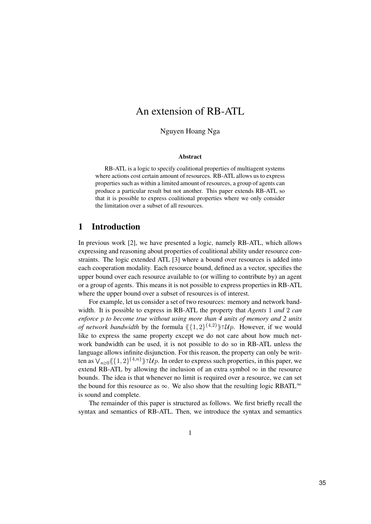# An extension of RB-ATL

Nguyen Hoang Nga

#### Abstract

RB-ATL is a logic to specify coalitional properties of multiagent systems where actions cost certain amount of resources. RB-ATL allows us to express properties such as within a limited amount of resources, a group of agents can produce a particular result but not another. This paper extends RB-ATL so that it is possible to express coalitional properties where we only consider the limitation over a subset of all resources.

### 1 Introduction

In previous work [2], we have presented a logic, namely RB-ATL, which allows expressing and reasoning about properties of coalitional ability under resource constraints. The logic extended ATL [3] where a bound over resources is added into each cooperation modality. Each resource bound, defined as a vector, specifies the upper bound over each resource available to (or willing to contribute by) an agent or a group of agents. This means it is not possible to express properties in RB-ATL where the upper bound over a subset of resources is of interest.

For example, let us consider a set of two resources: memory and network bandwidth. It is possible to express in RB-ATL the property that Agents 1 and 2 can enforce p to become true without using more than 4 units of memory and 2 units of network bandwidth by the formula  $\langle \langle 1, 2 \rangle^{(4,2)} \rangle \uparrow \mathcal{U}$  However, if we would like to express the same property except we do not care about how much network bandwidth can be used, it is not possible to do so in RB-ATL unless the language allows infinite disjunction. For this reason, the property can only be written as  $\bigvee_{n>0}\langle \langle 1,2\rangle^{(4,n)}\rangle \dagger \mathcal{U}p$ . In order to express such properties, in this paper, we extend RB-ATL by allowing the inclusion of an extra symbol  $\infty$  in the resource bounds. The idea is that whenever no limit is required over a resource, we can set the bound for this resource as  $\infty$ . We also show that the resulting logic RBATL<sup> $\infty$ </sup> is sound and complete.

The remainder of this paper is structured as follows. We first briefly recall the syntax and semantics of RB-ATL. Then, we introduce the syntax and semantics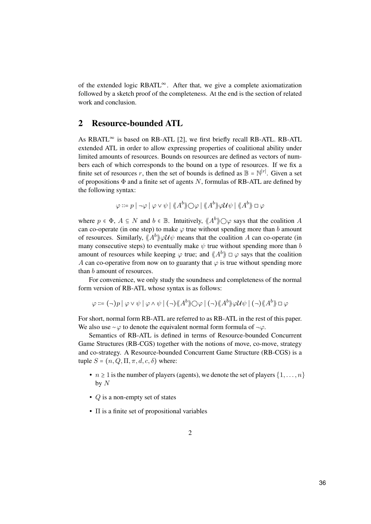of the extended logic RBATL∞. After that, we give a complete axiomatization followed by a sketch proof of the completeness. At the end is the section of related work and conclusion.

## 2 Resource-bounded ATL

As RBATL $^{\infty}$  is based on RB-ATL [2], we first briefly recall RB-ATL. RB-ATL extended ATL in order to allow expressing properties of coalitional ability under limited amounts of resources. Bounds on resources are defined as vectors of numbers each of which corresponds to the bound on a type of resources. If we fix a finite set of resources r, then the set of bounds is defined as  $\mathbb{B} = \mathbb{N}^{|r|}$ . Given a set of propositions  $\Phi$  and a finite set of agents N, formulas of RB-ATL are defined by the following syntax:

$$
\varphi ::= p \mid \neg \varphi \mid \varphi \lor \psi \mid \langle \!\langle A^b \rangle \rangle \bigcirc \varphi \mid \langle \!\langle A^b \rangle \rangle \varphi \mathcal{U} \psi \mid \langle \!\langle A^b \rangle \rangle \Box \varphi
$$

where  $p \in \Phi$ ,  $A \subseteq N$  and  $b \in \mathbb{B}$ . Intuitively,  $\langle \mathcal{A}^b \rangle \bigcirc \varphi$  says that the coalition A can co-operate (in one step) to make  $\varphi$  true without spending more than b amount of resources. Similarly,  $\langle A^b \rangle \rangle \varphi \mathcal{U} \psi$  means that the coalition A can co-operate (in many consecutive steps) to eventually make  $\psi$  true without spending more than b amount of resources while keeping  $\varphi$  true; and  $\langle A^b \rangle \Box \varphi$  says that the coalition A can co-operative from now on to guaranty that  $\varphi$  is true without spending more than b amount of resources.

For convenience, we only study the soundness and completeness of the normal form version of RB-ATL whose syntax is as follows:

 $\varphi ::= (\neg) p \mid \varphi \vee \psi \mid \varphi \wedge \psi \mid (\neg) \langle \!\langle A^{b} \rangle\!\rangle \bigcirc \varphi \mid (\neg) \langle \!\langle A^{b} \rangle\!\rangle \varphi \mathcal{U} \psi \mid (\neg) \langle \!\langle A^{b} \rangle\!\rangle \sqcup \varphi$ 

For short, normal form RB-ATL are referred to as RB-ATL in the rest of this paper. We also use ∼ $\varphi$  to denote the equivalent normal form formula of  $\neg \varphi$ .

Semantics of RB-ATL is defined in terms of Resource-bounded Concurrent Game Structures (RB-CGS) together with the notions of move, co-move, strategy and co-strategy. A Resource-bounded Concurrent Game Structure (RB-CGS) is a tuple  $S = (n, Q, \Pi, \pi, d, c, \delta)$  where:

- $n \ge 1$  is the number of players (agents), we denote the set of players  $\{1, \ldots, n\}$ by  $N$
- $Q$  is a non-empty set of states
- Π is a finite set of propositional variables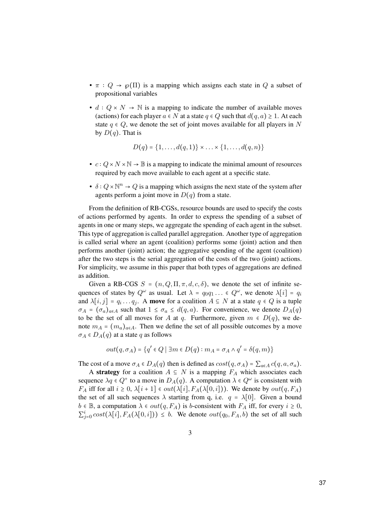- $\pi$  :  $Q \rightarrow \varphi(\Pi)$  is a mapping which assigns each state in Q a subset of propositional variables
- $d: Q \times N \to \mathbb{N}$  is a mapping to indicate the number of available moves (actions) for each player  $a \in N$  at a state  $q \in Q$  such that  $d(q, a) \geq 1$ . At each state  $q \in Q$ , we denote the set of joint moves available for all players in N by  $D(q)$ . That is

$$
D(q) = \{1,\ldots,d(q,1)\} \times \ldots \times \{1,\ldots,d(q,n)\}
$$

- $c: Q \times N \times \mathbb{N} \to \mathbb{B}$  is a mapping to indicate the minimal amount of resources required by each move available to each agent at a specific state.
- $\delta: Q \times \mathbb{N}^n \to Q$  is a mapping which assigns the next state of the system after agents perform a joint move in  $D(q)$  from a state.

From the definition of RB-CGSs, resource bounds are used to specify the costs of actions performed by agents. In order to express the spending of a subset of agents in one or many steps, we aggregate the spending of each agent in the subset. This type of aggregation is called parallel aggregation. Another type of aggregation is called serial where an agent (coalition) performs some (joint) action and then performs another (joint) action; the aggregative spending of the agent (coalition) after the two steps is the serial aggregation of the costs of the two (joint) actions. For simplicity, we assume in this paper that both types of aggregations are defined as addition.

Given a RB-CGS  $S = (n, Q, \Pi, \pi, d, c, \delta)$ , we denote the set of infinite sequences of states by  $Q^{\omega}$  as usual. Let  $\lambda = q_0 q_1 ... \in Q^{\omega}$ , we denote  $\lambda[i] = q_i$ and  $\lambda[i, j] = q_i \dots q_j$ . A move for a coalition  $A \subseteq N$  at a state  $q \in Q$  is a tuple  $\sigma_A = (\sigma_a)_{a \in A}$  such that  $1 \leq \sigma_a \leq d(q, a)$ . For convenience, we denote  $D_A(q)$ to be the set of all moves for A at q. Furthermore, given  $m \in D(q)$ , we denote  $m_A = (m_a)_{a \in A}$ . Then we define the set of all possible outcomes by a move  $\sigma_A \in D_A(q)$  at a state q as follows

$$
out(q, \sigma_A) = \{q' \in Q \mid \exists m \in D(q) : m_A = \sigma_A \land q' = \delta(q, m)\}\
$$

The cost of a move  $\sigma_A \in D_A(q)$  then is defined as  $cost(q, \sigma_A) = \sum_{a \in A} c(q, a, \sigma_a)$ .

A strategy for a coalition  $A \subseteq N$  is a mapping  $F_A$  which associates each sequence  $\lambda q \in Q^+$  to a move in  $D_A(q)$ . A computation  $\lambda \in Q^{\omega}$  is consistent with  $F_A$  iff for all  $i \geq 0$ ,  $\lambda[i+1] \in out(\lambda[i], F_A(\lambda[0,i]))$ . We denote by  $out(q, F_A)$ the set of all such sequences  $\lambda$  starting from q, i.e.  $q = \lambda[0]$ . Given a bound  $b \in \mathbb{B}$ , a computation  $\lambda \in out(q, F_A)$  is b-consistent with  $F_A$  iff, for every  $i \geq 0$ ,  $\sum_{j=0}^{i} cost(\lambda[i], F_A(\lambda[0, i])) \leq b$ . We denote  $out(q_0, F_A, b)$  the set of all such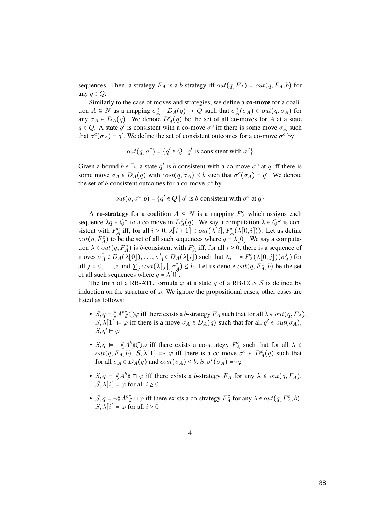sequences. Then, a strategy  $F_A$  is a b-strategy iff  $out(q, F_A) = out(q, F_A, b)$  for any  $q \in Q$ .

Similarly to the case of moves and strategies, we define a co-move for a coalition  $A \subseteq N$  as a mapping  $\sigma_A^c : D_A(q) \to Q$  such that  $\sigma_A^c(\sigma_A) \in out(q, \sigma_A)$  for any  $\sigma_A \in D_A(q)$ . We denote  $D_A^c(q)$  be the set of all co-moves for A at a state  $q \in Q$ . A state q' is consistent with a co-move  $\sigma^c$  iff there is some move  $\sigma_A$  such that  $\sigma^c(\sigma_A) = q'$ . We define the set of consistent outcomes for a co-move  $\sigma^c$  by

$$
out(q, \sigma^c) = \{q' \in Q \mid q' \text{ is consistent with } \sigma^c\}
$$

Given a bound  $b \in \mathbb{B}$ , a state q' is b-consistent with a co-move  $\sigma^c$  at q iff there is some move  $\sigma_A \in D_A(q)$  with  $cost(q, \sigma_A) \leq b$  such that  $\sigma^c(\sigma_A) = q'$ . We denote the set of b-consistent outcomes for a co-move  $\sigma^c$  by

$$
out(q, \sigma^c, b) = \{q' \in Q \mid q' \text{ is } b\text{-consistent with } \sigma^c \text{ at } q\}
$$

A co-strategy for a coalition  $A \subseteq N$  is a mapping  $F_A^c$  which assigns each sequence  $\lambda q \in Q^+$  to a co-move in  $D_A^c(q)$ . We say a computation  $\lambda \in Q^{\omega}$  is consistent with  $F_A^c$  iff, for all  $i \geq 0$ ,  $\lambda[i+1] \in out(\lambda[i], F_A^c(\lambda[0,i]))$ . Let us define  $out(q, F_A^c)$  to be the set of all such sequences where  $q = \lambda[0]$ . We say a computation  $\lambda \in out(q, F_A^c)$  is b-consistent with  $F_A^c$  iff, for all  $i \ge 0$ , there is a sequence of moves  $\sigma_A^0 \in D_A(\lambda[0]), \ldots, \sigma_A^i \in D_A(\lambda[i])$  such that  $\lambda_{j+1} = F_A^c(\lambda[0,j])(\sigma_A^j)$  for all  $j = 0, \ldots, i$  and  $\sum_{j} cost(\lambda[j], \sigma_A^j) \leq b$ . Let us denote  $out(q, F_A^c, b)$  be the set of all such sequences where  $q = \lambda[0]$ .

The truth of a RB-ATL formula  $\varphi$  at a state q of a RB-CGS S is defined by induction on the structure of  $\varphi$ . We ignore the propositional cases, other cases are listed as follows:

- $S, q \in \langle A^b \rangle \cap \varphi$  iff there exists a b-strategy  $F_A$  such that for all  $\lambda \in out(q, F_A)$ ,  $S, \lambda[1] \models \varphi$  iff there is a move  $\sigma_A \in D_A(q)$  such that for all  $q' \in out(\sigma_A)$ ,  $S, a' \vDash \varphi$
- $S, q \models \neg \langle \mathcal{A}^b \rangle \bigcirc \varphi$  iff there exists a co-strategy  $F_A^c$  such that for all  $\lambda \in \mathcal{A}$ *out*(q, F<sub>A</sub>, b), S,  $\lambda$ [1] ⊨∼  $\varphi$  iff there is a co-move  $\sigma^c \in D_A^c(q)$  such that for all  $\sigma_A \in D_A(q)$  and  $cost(\sigma_A) \leq b, S, \sigma^c(\sigma_A) \models \sim \varphi$
- $S, q \in \langle A^b \rangle \cup \varphi$  iff there exists a b-strategy  $F_A$  for any  $\lambda \in out(q, F_A)$ ,  $S, \lambda[i] \models \varphi$  for all  $i \geq 0$
- $S, q \in \mathcal{A}^b$   $\Box \varphi$  iff there exists a co-strategy  $F_A^c$  for any  $\lambda \in out(q, F_A^c, b)$ ,  $S, \lambda[i] \models \varphi$  for all  $i > 0$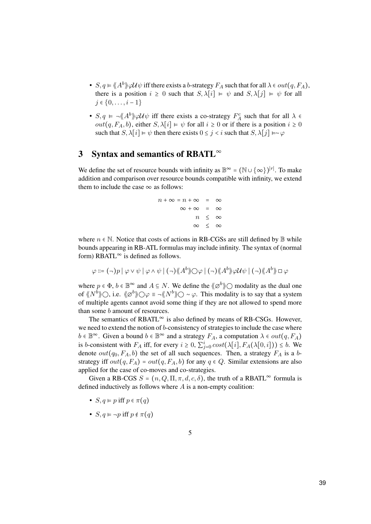- $S, q \in \langle A^b \rangle \varphi \mathcal{U} \psi$  iff there exists a b-strategy  $F_A$  such that for all  $\lambda \in out(q, F_A)$ , there is a position  $i \geq 0$  such that  $S, \lambda[i] \models \psi$  and  $S, \lambda[j] \models \psi$  for all  $j \in \{0, \ldots, i-1\}$
- $S, q \models \neg \langle \neg A^b \rangle \lor \neg \mathcal{U} \lor \psi$  iff there exists a co-strategy  $F_A^c$  such that for all  $\lambda \in \mathbb{R}$ out(q,  $F_A$ , b), either  $S$ ,  $\lambda[i] \models \psi$  for all  $i \ge 0$  or if there is a position  $i \ge 0$ such that  $S, \lambda[i] \models \psi$  then there exists  $0 \leq j < i$  such that  $S, \lambda[j] \models \sim \varphi$

## 3 Syntax and semantics of RBATL<sup>∞</sup>

We define the set of resource bounds with infinity as  $\mathbb{B}^{\infty} = (\mathbb{N} \cup \{\infty\})^{|r|}$ . To make addition and comparison over resource bounds compatible with infinity, we extend them to include the case  $\infty$  as follows:

$$
n + \infty = n + \infty = \infty
$$
  

$$
\infty + \infty = \infty
$$
  

$$
n \leq \infty
$$
  

$$
\infty \leq \infty
$$

where  $n \in \mathbb{N}$ . Notice that costs of actions in RB-CGSs are still defined by  $\mathbb{B}$  while bounds appearing in RB-ATL formulas may include infinity. The syntax of (normal form) RBATL $^{\infty}$  is defined as follows.

$$
\varphi ::= (\neg) p \mid \varphi \lor \psi \mid \varphi \land \psi \mid (\neg) \langle \! \langle A^b \rangle \! \rangle \bigcirc \varphi \mid (\neg) \langle \! \langle A^b \rangle \! \rangle \varphi \mathcal{U} \psi \mid (\neg) \langle \! \langle A^b \rangle \! \rangle \Box \varphi
$$

where  $p \in \Phi$ ,  $b \in \mathbb{B}^{\infty}$  and  $A \subseteq N$ . We define the  $\langle \emptyset^b \rangle$  modality as the dual one of  $\langle N^b \rangle$ , i.e.  $\langle \! \langle \emptyset^b \rangle \! \rangle \bigcirc \varphi = \neg \langle \! \langle N^b \rangle \! \rangle \bigcirc \neg \varphi$ . This modality is to say that a system of multiple agents cannot avoid some thing if they are not allowed to spend more than some b amount of resources.

The semantics of RBATL $^{\infty}$  is also defined by means of RB-CSGs. However, we need to extend the notion of *b*-consistency of strategies to include the case where  $b \in \mathbb{B}^{\infty}$ . Given a bound  $b \in \mathbb{B}^{\infty}$  and a strategy  $F_A$ , a computation  $\lambda \in out(q, F_A)$ is b-consistent with  $F_A$  iff, for every  $i \ge 0$ ,  $\sum_{j=0}^{i} cost(\lambda[i], F_A(\lambda[0,i])) \le b$ . We denote  $out(q_0, F_A, b)$  the set of all such sequences. Then, a strategy  $F_A$  is a bstrategy iff  $out(q, F_A) = out(q, F_A, b)$  for any  $q \in Q$ . Similar extensions are also applied for the case of co-moves and co-strategies.

Given a RB-CGS  $S = (n, Q, \Pi, \pi, d, c, \delta)$ , the truth of a RBATL<sup>∞</sup> formula is defined inductively as follows where  $A$  is a non-empty coalition:

- $S, q \models p$  iff  $p \in \pi(q)$
- $S, q \models \neg p$  iff  $p \notin \pi(q)$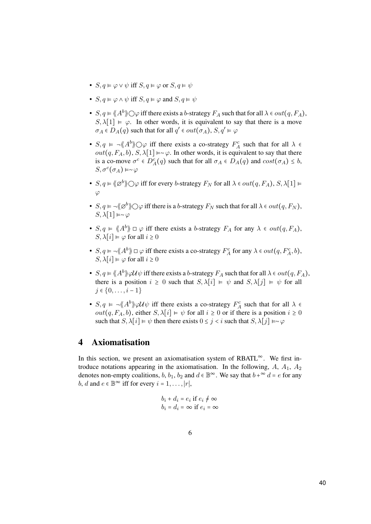- $S, q \models \varphi \lor \psi$  iff  $S, q \models \varphi$  or  $S, q \models \psi$
- $S, q \vDash \varphi \land \psi$  iff  $S, q \vDash \varphi$  and  $S, q \vDash \psi$
- $S, q \in \langle A^b \rangle \rangle \bigcirc \varphi$  iff there exists a b-strategy  $F_A$  such that for all  $\lambda \in out(q, F_A)$ ,  $S, \lambda[1] \models \varphi$ . In other words, it is equivalent to say that there is a move  $\sigma_A \in D_A(q)$  such that for all  $q' \in out(\sigma_A)$ ,  $S, q' \vDash \varphi$
- $S, q \models \neg \langle \mathcal{A}^b \rangle \bigcirc \varphi$  iff there exists a co-strategy  $F_A^c$  such that for all  $\lambda \in$ out(q,  $F_A$ , b), S,  $\lambda$ [1] ⊨∼ $\varphi$ . In other words, it is equivalent to say that there is a co-move  $\sigma^c \in D_A^c(q)$  such that for all  $\sigma_A \in D_A(q)$  and  $cost(\sigma_A) \leq b$ ,  $S, \sigma^c(\sigma_A) \models \sim \varphi$
- $S, q \in \langle \emptyset \emptyset \rangle$   $\bigcirc \varphi$  iff for every b-strategy  $F_N$  for all  $\lambda \in out(q, F_A), S, \lambda[1] \models$  $\varphi$
- $S, q \models \neg \langle \emptyset \phi \rangle \bigcirc \varphi$  iff there is a b-strategy  $F_N$  such that for all  $\lambda \in out(q, F_N)$ ,  $S, \lambda[1] \models \sim \varphi$
- $S, q \in \langle A^b \rangle \cup \varphi$  iff there exists a b-strategy  $F_A$  for any  $\lambda \in out(q, F_A)$ ,  $S, \lambda[i] \models \varphi$  for all  $i \geq 0$
- $S, q \in \mathcal{A}^b$   $\Box \varphi$  iff there exists a co-strategy  $F_A^c$  for any  $\lambda \in out(q, F_A^c, b)$ ,  $S, \lambda[i] \models \varphi$  for all  $i \geq 0$
- $S, q \in \langle A^b \rangle \varphi \mathcal{U} \psi$  iff there exists a b-strategy  $F_A$  such that for all  $\lambda \in out(q, F_A)$ , there is a position  $i \geq 0$  such that  $S, \lambda[i] \models \psi$  and  $S, \lambda[j] \models \psi$  for all  $j \in \{0, \ldots, i-1\}$
- $S, q \models \neg \langle \neg A^b \rangle \lor \neg \mathcal{U} \lor \psi$  iff there exists a co-strategy  $F_A^c$  such that for all  $\lambda \in \mathcal{U}$ *out*(q,  $F_A$ , b), either S,  $\lambda[i] \models \psi$  for all  $i \ge 0$  or if there is a position  $i \ge 0$ such that  $S, \lambda[i] \models \psi$  then there exists  $0 \leq j < i$  such that  $S, \lambda[j] \models \sim \varphi$

## 4 Axiomatisation

In this section, we present an axiomatisation system of RBATL∞. We first introduce notations appearing in the axiomatisation. In the following,  $A$ ,  $A_1$ ,  $A_2$ denotes non-empty coalitions, b, b<sub>1</sub>, b<sub>2</sub> and  $d \in \mathbb{B}^{\infty}$ . We say that  $b + \infty d = e$  for any *b*, *d* and  $e \in \mathbb{B}^{\infty}$  iff for every  $i = 1, \ldots, |r|$ ,

$$
b_i + d_i = e_i \text{ if } e_i \neq \infty
$$
  

$$
b_i = d_i = \infty \text{ if } e_i = \infty
$$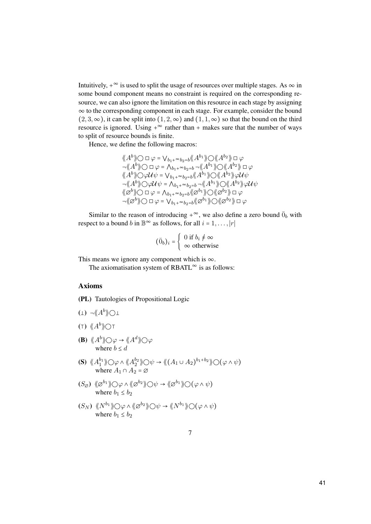Intuitively,  $+^{\infty}$  is used to split the usage of resources over multiple stages. As  $\infty$  in some bound component means no constraint is required on the corresponding resource, we can also ignore the limitation on this resource in each stage by assigning ∞ to the corresponding component in each stage. For example, consider the bound  $(2, 3, \infty)$ , it can be split into  $(1, 2, \infty)$  and  $(1, 1, \infty)$  so that the bound on the third resource is ignored. Using  $+^{\infty}$  rather than + makes sure that the number of ways to split of resource bounds is finite.

Hence, we define the following macros:

$$
\langle A^{b} \rangle \bigcirc \Box \varphi = \bigvee_{b_{1}+\infty b_{2}=b} \langle A^{b_{1}} \rangle \bigcirc \langle A^{b_{2}} \rangle \Box \varphi
$$
  
\n
$$
\neg \langle A^{b} \rangle \bigcirc \Box \varphi = \bigwedge_{b_{1}+\infty b_{2}=b} \neg \langle A^{b_{1}} \rangle \bigcirc \langle A^{b_{2}} \rangle \Box \varphi
$$
  
\n
$$
\langle A^{b} \rangle \bigcirc \varphi \mathcal{U} \psi = \bigvee_{b_{1}+\infty b_{2}=b} \langle A^{b_{1}} \rangle \bigcirc \langle A^{b_{2}} \rangle \bigcirc \mathcal{U} \psi
$$
  
\n
$$
\neg \langle A^{b} \rangle \bigcirc \varphi \mathcal{U} \psi = \bigwedge_{b_{1}+\infty b_{2}=b} \langle A^{b_{1}} \rangle \bigcirc \langle A^{b_{2}} \rangle \varphi \mathcal{U} \psi
$$
  
\n
$$
\langle \varphi^{b} \rangle \bigcirc \Box \varphi = \bigwedge_{b_{1}+\infty b_{2}=b} \langle \varphi^{b_{1}} \rangle \bigcirc \langle \varphi^{b_{2}} \rangle \bigcirc \Box \varphi
$$
  
\n
$$
\neg \langle \langle \varphi^{b} \rangle \rangle \bigcirc \Box \varphi = \bigvee_{b_{1}+\infty b_{2}=b} \langle \langle \varphi^{b_{1}} \rangle \bigcirc \langle \langle \varphi^{b_{2}} \rangle \rangle \Box \varphi
$$
  
\n
$$
\neg \langle \langle \varphi^{b} \rangle \rangle \bigcirc \Box \varphi = \bigvee_{b_{1}+\infty b_{2}=b} \langle \langle \varphi^{b_{1}} \rangle \bigcirc \langle \langle \varphi^{b_{2}} \rangle \rangle \Box \varphi
$$

Similar to the reason of introducing  $+^{\infty}$ , we also define a zero bound  $\bar{0}_b$  with respect to a bound b in  $\mathbb{B}^{\infty}$  as follows, for all  $i = 1, ..., |r|$ 

$$
(\bar{0}_b)_i = \begin{cases} 0 \text{ if } b_i \neq \infty \\ \infty \text{ otherwise} \end{cases}
$$

This means we ignore any component which is  $\infty$ .

The axiomatisation system of RBATL $^{\infty}$  is as follows:

### Axioms

(PL) Tautologies of Propositional Logic

- $(\bot) \ \neg \langle \!\langle A^b \rangle \!\rangle \bigcirc \bot$
- (t)  $\langle A^b \rangle$ ot
- (B)  $\langle A^b \rangle \cap \varphi \to \langle A^d \rangle \cap \varphi$ where  $b \leq d$
- (S)  $\langle A_1^{b_1} \rangle \bigcirc \varphi \wedge \langle A_2^{b_2} \rangle \bigcirc \psi \rightarrow \langle (A_1 \cup A_2)^{b_1+b_2} \rangle \bigcirc (\varphi \wedge \psi)$ where  $A_1 \cap A_2 = \emptyset$
- $(S_{\varnothing}) \ \langle \!\langle \varnothing^{b_1} \rangle \rangle \bigcirc \varphi \wedge \langle \!\langle \varnothing^{b_2} \rangle \rangle \bigcirc \psi \rightarrow \langle \!\langle \varnothing^{b_1} \rangle \rangle \bigcirc (\varphi \wedge \psi)$ where  $b_1 \leq b_2$
- $(S_N) \langle N^{b_1} \rangle \bigcirc \varphi \wedge \langle \langle \varnothing^{b_2} \rangle \rangle \bigcirc \psi \rightarrow \langle \langle N^{b_1} \rangle \rangle \bigcirc (\varphi \wedge \psi)$ where  $b_1 \leq b_2$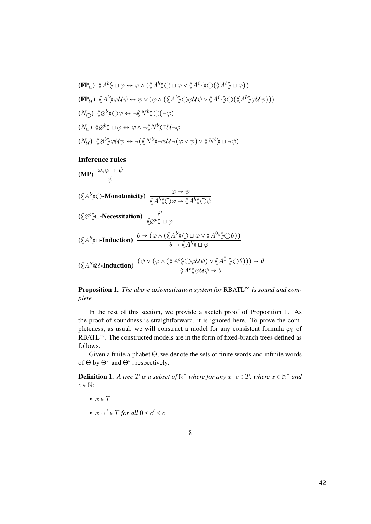$$
\begin{aligned}\n\langle \mathbf{FP}_{\Box} \rangle \ \ \langle \! \langle A^{b} \rangle \! \rangle & \Box \varphi \leftrightarrow \varphi \land (\langle \! \langle A^{b} \rangle \! \rangle \bigcirc \Box \varphi \lor \langle \! \langle A^{\overline{b}_{b}} \rangle \! \rangle \bigcirc (\langle \! \langle A^{b} \rangle \! \rangle \Box \varphi) \big) \\
\langle \mathbf{FP}_{\mathcal{U}} \rangle \ \ \langle \! \langle A^{b} \rangle \! \rangle \varphi \mathcal{U} \psi & \leftrightarrow \psi \lor (\varphi \land (\langle \! \langle A^{b} \rangle \! \rangle \bigcirc \varphi \mathcal{U} \psi \lor \langle A^{\overline{0}_{b}} \rangle \! \rangle \bigcirc (\langle \! \langle A^{b} \rangle \! \rangle \varphi \mathcal{U} \psi) \big)) \\
\langle N_{\Box} \rangle \ \ \langle \! \langle \! \langle \varphi^{b} \rangle \! \rangle \bigcirc \varphi \leftrightarrow \neg \langle \! \langle N^{b} \rangle \! \rangle \bigcirc (\neg \varphi)\n\end{aligned}
$$
\n
$$
\begin{aligned}\n\langle N_{\Box} \rangle \ \ \langle \! \langle \varphi^{b} \rangle \! \rangle \bigcirc \varphi \leftrightarrow \neg \langle \! \langle N^{b} \rangle \! \rangle \bigcirc \langle \! \langle \neg \varphi \rangle\n\end{aligned}
$$
\n
$$
\begin{aligned}\n\langle N_{\Box} \rangle \ \ \langle \! \langle \varphi^{b} \rangle \! \rangle \bigcirc \varphi \leftrightarrow \neg \langle \! \langle N^{b} \rangle \! \rangle \bigcirc \langle \! \langle \neg \varphi \rangle\n\end{aligned}
$$

#### Inference rules

(MP)  $\frac{\varphi, \varphi \to \psi}{\psi}$  $(\langle\!\langle A^b \rangle\!\rangle \bigcirc\text{-Monotonicity}) \; \frac{\varphi \to \psi}{\langle\!\langle A^b \rangle\!\rangle \bigcirc\!\varphi \to \langle\!\langle A^b \rangle\!\rangle \bigcirc\!\psi}$ (《∅<sup>b</sup>》□-Necessitation)  $\frac{\varphi}{\langle\!\langle \varnothing^b \rangle\!\rangle \Box \varphi}$  $(\langle\!\langle A^b \rangle\!\rangle \Box \text{-Induction}) \xrightarrow{\theta \to (\varphi \land (\langle\!\langle A^b \rangle\!\rangle \bigcirc \Box \varphi \lor \langle\!\langle A^{\bar{0}} \rangle\!\rangle \bigcirc \theta))}$  $\theta \to \langle A^b \rangle \to \varphi$  $(\langle\!\langle A^b\rangle\!\rangle\mathcal{U}\text{-Induction})\ \ \frac{(\psi\vee(\varphi\wedge(\langle\!\langle A^b\rangle\!\rangle\bigcirc\varphi\mathcal{U}\psi)\vee\langle\!\langle A^{\bar{0}_b}\rangle\!\rangle\bigcirc\theta))\rightarrow\theta}{\langle\!\langle A^b\rangle\!\rangle\langle\varphi\mathcal{U}\psi\rangle\rightarrow\theta}$  $\langle A^b \rangle\!\rangle \varphi \mathcal{U} \psi \to \theta$ 

**Proposition 1.** The above axiomatization system for RBATL $\infty$  is sound and complete.

In the rest of this section, we provide a sketch proof of Proposition 1. As the proof of soundness is straightforward, it is ignored here. To prove the completeness, as usual, we will construct a model for any consistent formula  $\varphi_0$  of RBATL<sup>∞</sup>. The constructed models are in the form of fixed-branch trees defined as follows.

Given a finite alphabet Θ, we denote the sets of finite words and infinite words of  $\Theta$  by  $\Theta^*$  and  $\Theta^{\omega}$ , respectively.

**Definition 1.** A tree T is a subset of  $\mathbb{N}^*$  where for any  $x \cdot c \in T$ , where  $x \in \mathbb{N}^*$  and  $c \in \mathbb{N}$ :

- $x \in T$
- $x \cdot c' \in T$  for all  $0 \leq c' \leq c$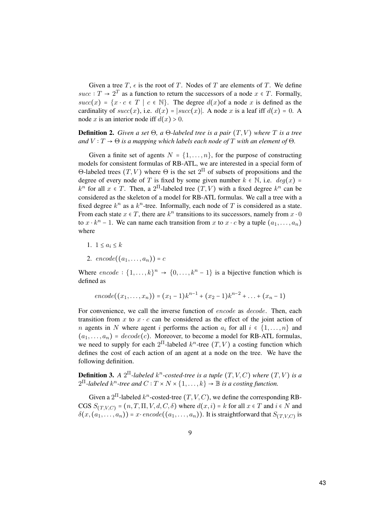Given a tree T,  $\epsilon$  is the root of T. Nodes of T are elements of T. We define  $succ: T \rightarrow 2^T$  as a function to return the successors of a node  $x \in T$ . Formally,  $succ(x) = \{x \cdot c \in T \mid c \in \mathbb{N}\}\.$  The degree  $d(x)$  of a node x is defined as the cardinality of  $succ(x)$ , i.e.  $d(x) = |succ(x)|$ . A node x is a leaf iff  $d(x) = 0$ . A node x is an interior node iff  $d(x) > 0$ .

**Definition 2.** Given a set  $\Theta$ , a  $\Theta$ -labeled tree is a pair  $(T, V)$  where T is a tree and  $V : T \to \Theta$  is a mapping which labels each node of T with an element of  $\Theta$ .

Given a finite set of agents  $N = \{1, \ldots, n\}$ , for the purpose of constructing models for consistent formulas of RB-ATL, we are interested in a special form of Θ-labeled trees  $(T, V)$  where  $Θ$  is the set  $2^{\Pi}$  of subsets of propositions and the degree of every node of T is fixed by some given number  $k \in \mathbb{N}$ , i.e.  $deg(x) =$  $k^n$  for all  $x \in T$ . Then, a 2<sup>II</sup>-labeled tree  $(T, V)$  with a fixed degree  $k^n$  can be considered as the skeleton of a model for RB-ATL formulas. We call a tree with a fixed degree  $k^n$  as a  $k^n$ -tree. Informally, each node of T is considered as a state. From each state  $x \in T$ , there are  $k^n$  transitions to its successors, namely from  $x \cdot 0$ to  $x \cdot k^n - 1$ . We can name each transition from x to  $x \cdot c$  by a tuple  $(a_1, \ldots, a_n)$ where

- 1.  $1 \le a_i \le k$
- 2.  $encode((a_1, ..., a_n)) = c$

Where  $encode : \{1, ..., k\}^n \rightarrow \{0, ..., k^n - 1\}$  is a bijective function which is defined as

$$
encode((x_1, ..., x_n)) = (x_1 - 1)k^{n-1} + (x_2 - 1)k^{n-2} + ... + (x_n - 1)
$$

For convenience, we call the inverse function of *encode* as *decode*. Then, each transition from x to  $x \cdot c$  can be considered as the effect of the joint action of n agents in N where agent i performs the action  $a_i$  for all  $i \in \{1, \ldots, n\}$  and  $(a_1, \ldots, a_n)$  =  $decode(c)$ . Moreover, to become a model for RB-ATL formulas, we need to supply for each  $2^{\Pi}$ -labeled  $k^n$ -tree  $(T, V)$  a costing function which defines the cost of each action of an agent at a node on the tree. We have the following definition.

**Definition 3.** A  $2^{\Pi}$ -labeled  $k^n$ -costed-tree is a tuple  $(T, V, C)$  where  $(T, V)$  is a  $2^{\Pi}$ -labeled  $k^n$ -tree and  $C: T \times N \times \{1, \ldots, k\} \rightarrow \mathbb{B}$  is a costing function.

Given a  $2^{\Pi}$ -labeled  $k^n$ -costed-tree  $(T, V, C)$ , we define the corresponding RB-CGS  $S_{(T,V,C)} = (n, T, \Pi, V, d, C, \delta)$  where  $d(x, i) = k$  for all  $x \in T$  and  $i \in N$  and  $\delta(x, (a_1, \ldots, a_n)) = x \cdot encode((a_1, \ldots, a_n))$ . It is straightforward that  $S_{(T, V, C)}$  is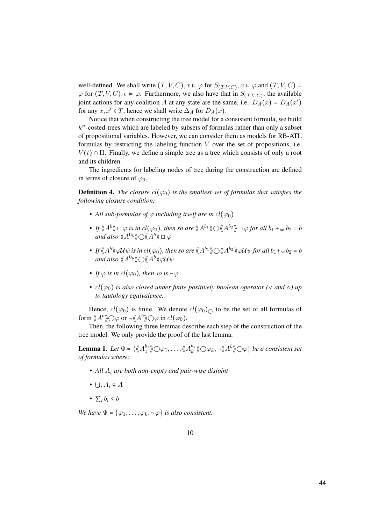well-defined. We shall write  $(T, V, C), x \models \varphi$  for  $S_{(T, V, C)}, x \models \varphi$  and  $(T, V, C) \models$  $\varphi$  for  $(T, V, C)$ ,  $\epsilon \models \varphi$ . Furthermore, we also have that in  $S_{(T, V, C)}$ , the available joint actions for any coalition A at any state are the same, i.e.  $D_A(x) = D_A(x')$ for any  $x, x' \in T$ , hence we shall write  $\Delta_A$  for  $D_A(x)$ .

Notice that when constructing the tree model for a consistent formula, we build  $k^n$ -costed-trees which are labeled by subsets of formulas rather than only a subset of propositional variables. However, we can consider them as models for RB-ATL formulas by restricting the labeling function  $V$  over the set of propositions, i.e.  $V(t) \cap \Pi$ . Finally, we define a simple tree as a tree which consists of only a root and its children.

The ingredients for labeling nodes of tree during the construction are defined in terms of closure of  $\varphi_0$ .

**Definition 4.** The closure  $cl(\varphi_0)$  is the smallest set of formulas that satisfies the following closure condition:

- All sub-formulas of  $\varphi$  including itself are in  $cl(\varphi_0)$
- If  $\langle A^{b} \rangle \to \varphi$  is in  $cl(\varphi_0)$ , then so are  $\langle A^{b_1} \rangle \bigcirc \langle A^{b_2} \rangle \to \varphi$  for all  $b_1 +_{\infty} b_2 = b_1$ and also  $\langle A^{0}b \rangle\!\rangle \bigcirc \langle\!\langle A^{b} \rangle\!\rangle \square \varphi$
- If  $\langle A^b \rangle \varphi \mathcal{U} \psi$  is in  $cl(\varphi_0)$ , then so are  $\langle A^{b_1} \rangle \bigcirc \langle A^{b_2} \rangle \varphi \mathcal{U} \psi$  for all  $b_1 +_{\infty} b_2 = b$ and also  $\langle\!\langle A^{0_b}\rangle\!\rangle$   $\!\! \bigcirc \langle\!\langle A^{b}\rangle\!\rangle\!\! \varphi \mathcal{U}\psi$
- If  $\varphi$  is in  $cl(\varphi_0)$ , then so is ~ $\varphi$
- $cl(\varphi_0)$  is also closed under finite positively boolean operator ( $\vee$  and  $\wedge$ ) up to tautology equivalence.

Hence,  $cl(\varphi_0)$  is finite. We denote  $cl(\varphi_0)_{\cap}$  to be the set of all formulas of form  $\langle\!\langle A^b \rangle\!\rangle$   $\bigcirc\varphi$  or  $\neg\langle\!\langle A^b \rangle\!\rangle$   $\bigcirc\varphi$  in  $cl(\varphi_0)$ .

Then, the following three lemmas describe each step of the construction of the tree model. We only provide the proof of the last lemma.

**Lemma 1.** Let  $\Phi = \{ \langle A_1^{b_1} \rangle \bigcirc \varphi_1, \dots, \langle A_k^{b_k} \rangle \bigcirc \varphi_k, \neg \langle A_k^{b} \rangle \bigcirc \varphi \}$  be a consistent set of formulas where:

- All  $A_i$  are both non-empty and pair-wise disjoint
- $\bigcup_i A_i \subseteq A$
- $\sum_i b_i < b$

We have  $\Psi = {\varphi_1, \ldots, \varphi_k, \sim \varphi}$  is also consistent.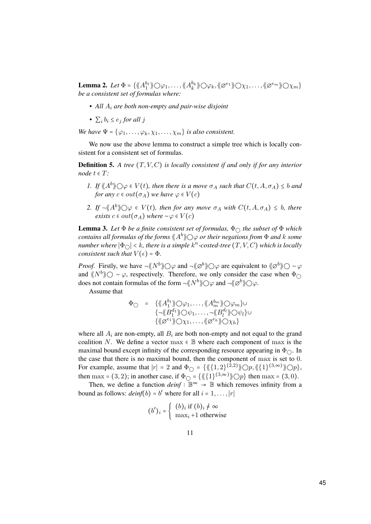**Lemma 2.** Let  $\Phi = \{ \langle A_1^{b_1} \rangle \bigcirc \varphi_1, \dots, \langle A_k^{b_k} \rangle \bigcirc \varphi_k, \langle \varphi^{e_1} \rangle \bigcirc \chi_1, \dots, \langle \varphi^{e_m} \rangle \bigcirc \chi_m \}$ be a consistent set of formulas where:

- All  $A_i$  are both non-empty and pair-wise disjoint
- $\sum_i b_i \leq e_i$  for all j

We have  $\Psi = {\varphi_1, \ldots, \varphi_k, \chi_1, \ldots, \chi_m}$  is also consistent.

We now use the above lemma to construct a simple tree which is locally consistent for a consistent set of formulas.

**Definition 5.** A tree  $(T, V, C)$  is locally consistent if and only if for any interior node  $t \in T$ :

- 1. If  $\langle A^b \rangle \cap \varphi \in V(t)$ , then there is a move  $\sigma_A$  such that  $C(t, A, \sigma_A) \leq b$  and for any  $c \in out(\sigma_A)$  we have  $\varphi \in V(c)$
- 2. If  $\neg \langle A^b \rangle \bigcirc \varphi \in V(t)$ , then for any move  $\sigma_A$  with  $C(t, A, \sigma_A) \leq b$ , there exists  $c \in out(\sigma_A)$  where ~ $\varphi \in V(c)$

**Lemma 3.** Let  $\Phi$  be a finite consistent set of formulas,  $\Phi_{\bigcirc}$  the subset of  $\Phi$  which contains all formulas of the forms  $\langle A^b \rangle \cap \varphi$  or their negations from  $\Phi$  and k some number where  $|\Phi_{\bigcirc}| < k$ , there is a simple  $k^n$ -costed-tree  $(T, V, C)$  which is locally consistent such that  $V(\epsilon) = \Phi$ .

*Proof.* Firstly, we have  $\neg \langle N^b \rangle \bigcirc \varphi$  and  $\neg \langle \varphi^b \rangle \bigcirc \varphi$  are equivalent to  $\langle \varphi^b \rangle \bigcirc \neg \varphi$ and  $\langle N^b \rangle\!\rangle \bigcirc \sim \varphi$ , respectively. Therefore, we only consider the case when  $\Phi_{\bigcirc}$ does not contain formulas of the form  $\neg \langle N^b \rangle \bigcirc \varphi$  and  $\neg \langle \varnothing^b \rangle \bigcirc \varphi$ .

Assume that

$$
\Phi_{\bigcirc} = \{ \langle A_1^{b_1} \rangle \bigcirc \varphi_1, \dots, \langle A_m^{b_m} \rangle \bigcirc \varphi_m \} \cup \n\{\neg \langle B_1^{d_1} \rangle \bigcirc \psi_1, \dots, \neg \langle B_l^{d_l} \rangle \bigcirc \psi_l \} \cup \n\{\langle \varnothing^{e_1} \rangle \rangle \bigcirc \chi_1, \dots, \langle \varnothing^{e_h} \rangle \rangle \bigcirc \chi_h \}
$$

where all  $A_i$  are non-empty, all  $B_i$  are both non-empty and not equal to the grand coalition N. We define a vector max  $\in \mathbb{B}$  where each component of max is the maximal bound except infinity of the corresponding resource appearing in  $\Phi_{\bigcirc}$ . In the case that there is no maximal bound, then the component of max is set to 0. For example, assume that  $|r| = 2$  and  $\Phi_{\bigcirc} = \{ \langle \langle \{1,2\}^{(2,2)} \rangle \rangle \bigcirc p, \langle \langle \{1\}^{(3,\infty)} \rangle \rangle \bigcirc p \}$ , then max = (3, 2); in another case, if  $\Phi_{\bigcirc} = {\{\langle \langle \{1\}^{(3,\infty)} \rangle \rangle \bigcirc p\}}$  then max = (3, 0).

Then, we define a function  $deinf : \mathbb{B}^{\infty} \to \mathbb{B}$  which removes infinity from a bound as follows:  $deinf(b) = b'$  where for all  $i = 1, \ldots, |r|$ 

$$
(b')_i = \begin{cases} (b)_i \text{ if } (b)_i \neq \infty \\ \max_i +1 \text{ otherwise} \end{cases}
$$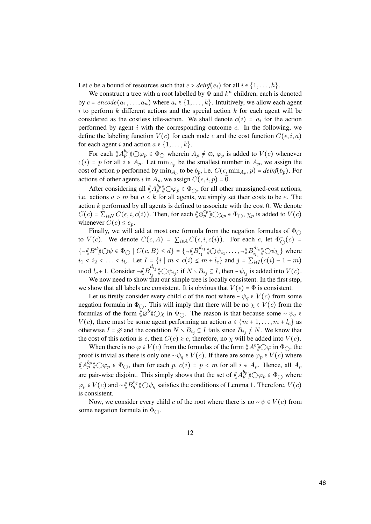Let *e* be a bound of resources such that  $e > \text{deinf}(e_i)$  for all  $i \in \{1, ..., h\}$ .

We construct a tree with a root labelled by  $\Phi$  and  $k^n$  children, each is denoted by  $c = encode(a_1, \ldots, a_n)$  where  $a_i \in \{1, \ldots, k\}$ . Intuitively, we allow each agent  $i$  to perform  $k$  different actions and the special action  $k$  for each agent will be considered as the costless idle-action. We shall denote  $c(i) = a_i$  for the action performed by agent  $i$  with the corresponding outcome  $c$ . In the following, we define the labeling function  $V(c)$  for each node c and the cost function  $C(\epsilon, i, a)$ for each agent i and action  $a \in \{1, \ldots, k\}.$ 

For each  $\langle A_p^{b_p} \rangle \bigcirc \varphi_p \in \Phi_{\bigcirc}$  wherein  $A_p \neq \emptyset$ ,  $\varphi_p$  is added to  $V(c)$  whenever  $c(i) = p$  for all  $i \in A_p$ . Let  $\min_{A_p}$  be the smallest number in  $A_p$ , we assign the cost of action p performed by  $\min_{A_p}$  to be  $b_p$ , i.e.  $C(\epsilon, \min_{A_p}, p) = \text{deinf}(b_p)$ . For actions of other agents i in  $A_p$ , we assign  $C(\epsilon, i, p) = 0$ .

After considering all  $\langle A_p^{b_p} \rangle \bigcirc \varphi_p \in \Phi_{\bigcirc}$ , for all other unassigned-cost actions, i.e. actions  $a > m$  but  $a < k$  for all agents, we simply set their costs to be e. The action k performed by all agents is defined to associate with the cost 0. We denote  $C(c) = \sum_{i \in N} C(\epsilon, i, c(i))$ . Then, for each  $\langle \varnothing_p^{e_p} \rangle \rangle O \chi_p \in \Phi_O$ ,  $\chi_p$  is added to  $V(c)$ whenever  $C(c) \leq e_n$ .

Finally, we will add at most one formula from the negation formulas of  $\Phi \cap$ to  $V(c)$ . We denote  $C(c, A) = \sum_{i \in A} C(\epsilon, i, c(i))$ . For each c, let  $\Phi_{\bigcirc}(c) =$  ${\{\neg \langle B^d \rangle \} \bigcirc \psi \in \Phi_{\bigcirc} \mid C(c, B) \leq d} = {\{\neg \langle \langle B^{d_{i_1}}_{i_1} \rangle \rangle \bigcirc \psi_{i_1}, \dots, \neg \langle \langle B^{d_{l_c}}_{i_{l_c}} \rangle \rangle \bigcirc \psi_{l_c} \}}$  where  $i_1 < i_2 < \ldots < i_{l_c}$ . Let  $I = \{i \mid m < c(i) \le m + l_c\}$  and  $j = \sum_{i \in I} (c(i) - 1 - m)$ mod  $l_c+1$ . Consider  $\neg \langle B_{i_j}^{d_{i_j}} \rangle \bigcirc \psi_{i_j}$ : if  $N \setminus B_{i_j} \subseteq I$ , then  $\neg \psi_{i_j}$  is added into  $V(c)$ . We now need to show that our simple tree is locally consistent. In the first step,

we show that all labels are consistent. It is obvious that  $V(\epsilon) = \Phi$  is consistent. Let us firstly consider every child c of the root where  $\sim \psi_a \in V(c)$  from some negation formula in  $\Phi_{\bigcirc}$ . This will imply that there will be no  $\chi \in V(c)$  from the formulas of the form  $\langle \emptyset^b \rangle \bigcirc \chi$  in  $\Phi_{\bigcirc}$ . The reason is that because some ∼  $\psi_q$  $V(c)$ , there must be some agent performing an action  $a \in \{m+1, \ldots, m+l_c\}$  as otherwise  $I = \emptyset$  and the condition  $N \setminus B_{i,j} \subseteq I$  fails since  $B_{i,j} \neq N$ . We know that the cost of this action is e, then  $C(c) \geq e$ , therefore, no  $\chi$  will be added into  $V(c)$ .

When there is no  $\varphi \in V(c)$  from the formulas of the form  $\langle A^b \rangle \bigcirc \varphi$  in  $\Phi_{\bigcirc}$ , the proof is trivial as there is only one ∼ $\psi_q \in V(c)$ . If there are some  $\varphi_p \in V(c)$  where  $\langle A_p^{b_p} \rangle \bigcirc \varphi_p \in \Phi_{\bigcirc}$ , then for each  $p, c(i) = p \langle m \rangle$  for all  $i \in A_p$ . Hence, all  $A_p$ are pair-wise disjoint. This simply shows that the set of  $\langle A_p^{b_p} \rangle \bigcirc \varphi_p \in \Phi_{\bigcirc}$  where  $\varphi_p \in V(c)$  and ~ $\langle \! \langle B_q^{b_q} \rangle \! \rangle$   $\bigcirc \psi_q$  satisfies the conditions of Lemma 1. Therefore,  $V(c)$ is consistent.

Now, we consider every child c of the root where there is no  $\sim \psi \in V(c)$  from some negation formula in  $\Phi_{\bigcirc}$ .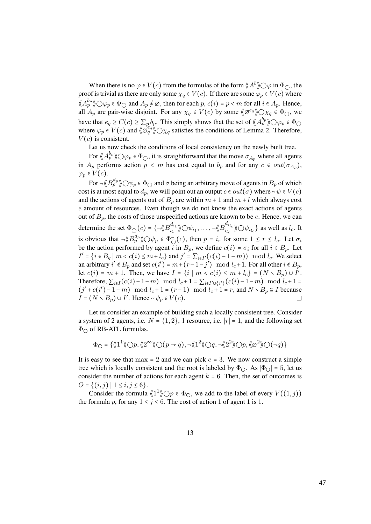When there is no  $\varphi \in V(c)$  from the formulas of the form  $\langle A^b \rangle O \varphi$  in  $\Phi_O$ , the proof is trivial as there are only some  $\chi_q \in V(c)$ . If there are some  $\varphi_p \in V(c)$  where  $\langle A_p^{b_p} \rangle \bigcirc \varphi_p \in \Phi_{\bigcirc}$  and  $A_p \neq \varnothing$ , then for each  $p, c(i) = p \le m$  for all  $i \in A_p$ . Hence, all  $A_p$  are pair-wise disjoint. For any  $\chi_q \in V(c)$  by some  $\langle \emptyset^{e_q} \rangle \bigcirc \chi_q \in \Phi_{\bigcirc}$ , we have that  $e_q \geq C(c) \geq \sum_p b_p$ . This simply shows that the set of  $\langle A_p^{b_p} \rangle \bigcirc \varphi_p \in \Phi_{\bigcirc}$ where  $\varphi_p \in V(c)$  and  $\langle \varphi_q^{e_q} \rangle \bigcirc \chi_q$  satisfies the conditions of Lemma 2. Therefore,  $V(c)$  is consistent.

Let us now check the conditions of local consistency on the newly built tree.

For  $\langle A_p^{b_p} \rangle \bigcirc \varphi_p \in \Phi_{\bigcirc}$ , it is straightforward that the move  $\sigma_{A_p}$  where all agents in  $A_p$  performs action  $p \lt m$  has cost equal to  $b_p$  and for any  $c \in out(\sigma_{A_p})$ ,  $\varphi_p \in V(c)$ .

For  $\neg \langle B_p^{d_p} \rangle \bigcirc \psi_p \in \Phi_{\bigcirc}$  and  $\sigma$  being an arbitrary move of agents in  $B_p$  of which cost is at most equal to  $d_p$ , we will point out an output  $c \in out(\sigma)$  where ~ $\psi \in V(c)$ and the actions of agents out of  $B_p$  are within  $m + 1$  and  $m + l$  which always cost e amount of resources. Even though we do not know the exact actions of agents out of  $B_p$ , the costs of those unspecified actions are known to be e. Hence, we can determine the set  $\Phi_{\bigcirc}(c) = \{\neg \langle \neg B_{i_1}^{d_{i_1}} \rangle \rangle \bigcirc \psi_{i_1}, \dots, \neg \langle \neg B_{i_{l_c}}^{d_{i_{l_c}}} \rangle \rangle \bigcirc \psi_{i_{l_c}}\}$  as well as  $l_c$ . It is obvious that  $\neg \langle B_p^{d_p} \rangle \bigcirc \psi_p \in \Phi_{\bigcirc}(c)$ , then  $p = i_r$  for some  $1 \le r \le l_c$ . Let  $\sigma_i$ be the action performed by agent i in  $B_p$ , we define  $c(i) = \sigma_i$  for all  $i \in B_p$ . Let  $I' = \{i \in B_q \mid m < c(i) \leq m + l_c\}$  and  $j' = \sum_{i \in I'} (c(i) - 1 - m)$  mod  $l_c$ . We select an arbitrary  $i' \notin B_p$  and set  $c(i') = m + (r-1-j') \mod l_c + 1$ . For all other  $i \notin B_p$ , let  $c(i) = m + 1$ . Then, we have  $I = \{i \mid m < c(i) \le m + l_c\} = (N \setminus B_p) \cup I'$ . Therefore,  $\sum_{i \in I} (c(i) - 1 - m) \mod l_c + 1 = \sum_{i \in I' \cup \{i'\}} (c(i) - 1 - m) \mod l_c + 1 =$  $(j' + c(i') - 1 - m) \mod l_c + 1 = (r - 1) \mod l_c + 1 = r$ , and  $N \setminus B_p \subseteq I$  because  $I = (N \setminus B_p) \cup I'$ . Hence ~ $\psi_p \in V(c)$ .

Let us consider an example of building such a locally consistent tree. Consider a system of 2 agents, i.e.  $N = \{1, 2\}$ , 1 resource, i.e.  $|r| = 1$ , and the following set  $\Phi$ <sup>O</sup> of RB-ATL formulas.

$$
\Phi_{\bigcirc} = \{ \langle \langle 1^1 \rangle \rangle \bigcirc p, \langle \langle 2^{\infty} \rangle \rangle \bigcirc (p \to q), \neg \langle \langle 1^2 \rangle \rangle \bigcirc q, \neg \langle \langle 2^2 \rangle \rangle \bigcirc p, \langle \langle \varnothing^2 \rangle \bigcirc (\neg q) \}
$$

It is easy to see that  $max = 2$  and we can pick  $e = 3$ . We now construct a simple tree which is locally consistent and the root is labeled by  $\Phi_{\Omega}$ . As  $|\Phi_{\Omega}| = 5$ , let us consider the number of actions for each agent  $k = 6$ . Then, the set of outcomes is  $O = \{(i, j) | 1 \le i, j \le 6\}.$ 

Consider the formula  $\langle \langle 1^1 \rangle \rangle \langle p \in \Phi_\circ \rangle$ , we add to the label of every  $V((1, j))$ the formula p, for any  $1 \le j \le 6$ . The cost of action 1 of agent 1 is 1.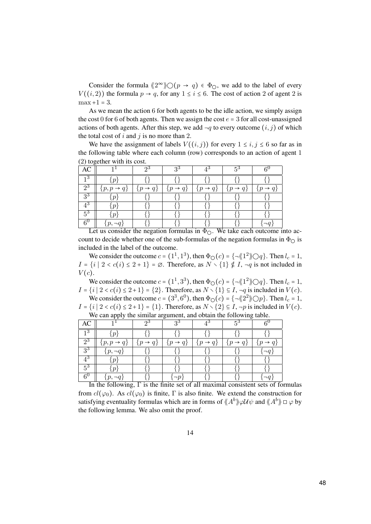Consider the formula  $\langle 2^{\infty} \rangle \bigcirc (p \to q) \in \Phi_{\bigcirc}$ , we add to the label of every  $V((i, 2))$  the formula  $p \to q$ , for any  $1 \le i \le 6$ . The cost of action 2 of agent 2 is  $max +1 = 3.$ 

As we mean the action 6 for both agents to be the idle action, we simply assign the cost 0 for 6 of both agents. Then we assign the cost  $e = 3$  for all cost-unassigned actions of both agents. After this step, we add  $\neg q$  to every outcome  $(i, j)$  of which the total cost of i and j is no more than 2.

We have the assignment of labels  $V((i, j))$  for every  $1 \le i, j \le 6$  so far as in the following table where each column (row) corresponds to an action of agent 1 (2) together with its cost.

| AC                                   |                          |                            | 20                         | 4ರ                             | ξä                       |                 |
|--------------------------------------|--------------------------|----------------------------|----------------------------|--------------------------------|--------------------------|-----------------|
|                                      | $\boldsymbol{\eta}$      |                            |                            |                                |                          |                 |
| $\overline{2^3}$                     | $\{p, p \rightarrow q\}$ | $\rightarrow q$<br>$\{p\}$ | $\rightarrow q$<br>$\{p\}$ | $\{p \rightarrow q\}$          | $\{p$<br>$\rightarrow q$ | $\rightarrow q$ |
| $\overline{3^3}$                     | $\boldsymbol{v}$         |                            |                            |                                |                          |                 |
|                                      | $\boldsymbol{\eta}$      |                            |                            |                                |                          |                 |
| $5^3$                                | n                        |                            |                            |                                |                          |                 |
| $\mathcal{L}^{\mathsf{L}}$<br>$\sim$ | $\overline{\cdots}$      | $\cdot$                    | $\overline{a}$             | $\sim$<br>$\bullet$<br>$- - -$ |                          |                 |

Let us consider the negation formulas in  $\Phi_{\bigcirc}$ . We take each outcome into account to decide whether one of the sub-formulas of the negation formulas in  $\Phi_{\bigcirc}$  is included in the label of the outcome.

We consider the outcome  $c = (1^1, 1^3)$ , then  $\Phi_{\Omega}(c) = \{\neg \langle 1^2 \rangle \bigcirc q\}$ . Then  $l_c = 1$ ,  $I = \{i \mid 2 < c(i) \leq 2 + 1\} = \emptyset$ . Therefore, as  $N \setminus \{1\} \notin I$ ,  $\neg q$  is not included in  $V(c)$ .

We consider the outcome  $c = (1^1, 3^3)$ , then  $\Phi_{\Omega}(c) = \{\neg \langle 1^2 \rangle \bigcirc q\}$ . Then  $l_c = 1$ ,  $I = \{i \mid 2 < c(i) \leq 2+1\} = \{2\}$ . Therefore, as  $N \setminus \{1\} \subseteq I$ ,  $\neg q$  is included in  $V(c)$ .

We consider the outcome  $c = (3^3, 6^0)$ , then  $\Phi_{\text{O}}(c) = \{\neg \langle 2^2 \rangle \negthinspace \rangle \bigcirc p\}$ . Then  $l_c = 1$ ,  $I = \{i \mid 2 < c(i) \leq 2+1\} = \{1\}$ . Therefore, as  $N \setminus \{2\} \subseteq I$ ,  $\neg p$  is included in  $V(c)$ . We can apply the similar argument, and obtain the following table.

| AC                    |                                |                       | $2^{\circ}$                 |                       |                            |                            |
|-----------------------|--------------------------------|-----------------------|-----------------------------|-----------------------|----------------------------|----------------------------|
| 1 ల                   | ιn                             |                       |                             |                       |                            |                            |
| $2^3$                 | $\{p, p \rightarrow q\}$       | $\{p \rightarrow q\}$ | $\{p \rightarrow q\}$       | $\{p \rightarrow q\}$ | $\{p\}$<br>$\rightarrow q$ | $\rightarrow q$<br>$\{p\}$ |
| $\overline{3^3}$      | $\{p, \neg q\}$                |                       |                             |                       |                            | $\neg q$                   |
| $\rm 4^3$             | $\mathbf{p}$                   |                       |                             |                       |                            |                            |
| $5^3$                 | $\cdot$ $\boldsymbol{p}$       |                       |                             |                       |                            |                            |
| $6^{\circ}$<br>$\sim$ | p,<br>$\sim$ $\sim$<br>$\cdot$ | $\mathbf{r}$          | $\sim$<br>$\sim$<br>$\cdot$ | $\cdot$<br>$\sim$     | $\sim$<br>$\cdot$          | $\sim$ $\sim$              |

In the following,  $\Gamma$  is the finite set of all maximal consistent sets of formulas from  $cl(\varphi_0)$ . As  $cl(\varphi_0)$  is finite,  $\Gamma$  is also finite. We extend the construction for satisfying eventuality formulas which are in forms of  $\langle A^b \rangle \rangle \varphi \mathcal{U} \psi$  and  $\langle A^b \rangle \Box \varphi$  by the following lemma. We also omit the proof.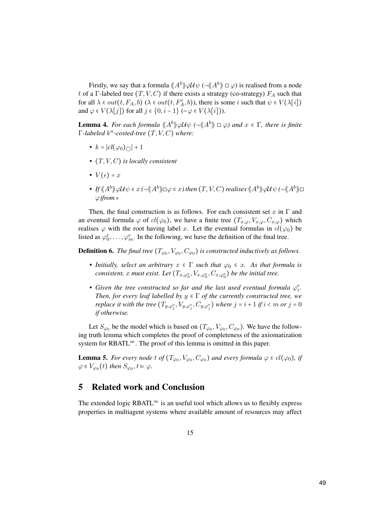Firstly, we say that a formula  $\langle A^b \rangle \gamma \mathcal{U} \psi \left( \neg \langle A^b \rangle \right) \square \varphi$  is realised from a node t of a Γ-labeled tree  $(T, V, C)$  if there exists a strategy (co-strategy)  $F_A$  such that for all  $\lambda \in out(t, F_A, b)$  ( $\lambda \in out(t, F_A^c, b)$ ), there is some i such that  $\psi \in V(\lambda[i])$ and  $\varphi \in V(\lambda[j])$  for all  $j \in \{0, i-1\}$  (~ $\varphi \in V(\lambda[i])$ ).

**Lemma 4.** For each formula  $\langle A^b \rangle \varphi \mathcal{U} \psi$  ( $\neg \langle A^b \rangle \Box \varphi$ ) and  $x \in \Gamma$ , there is finite  $\Gamma$ -labeled  $k^n$ -costed-tree  $(T, V, C)$  where:

- $k = |cl(\varphi_0)_\cap| + 1$
- $(T, V, C)$  is locally consistent
- $V(\epsilon) = x$
- $\bullet$  If  $\{A^b\}\varphi\mathcal{U}\psi\in x\ (\neg\langle\!\langle A^b\rangle\!\rangle \Box \varphi\in x)$  then  $(T,V,C)$  realises  $\langle\!\langle A^b\rangle\!\rangle \varphi\mathcal{U}\psi\ (\neg\langle\!\langle A^b\rangle\!\rangle \Box$  $\varphi$ )from  $\epsilon$

Then, the final construction is as follows. For each consistent set x in  $\Gamma$  and an eventual formula  $\varphi$  of  $cl(\varphi_0)$ , we have a finite tree  $(T_{x,\varphi}, V_{x,\varphi}, C_{x,\varphi})$  which realises  $\varphi$  with the root having label x. Let the eventual formulas in  $cl(\varphi_0)$  be listed as  $\varphi_0^e, \ldots, \varphi_m^e$ . In the following, we have the definition of the final tree.

**Definition 6.** The final tree  $(T_{\varphi_0}, V_{\varphi_0}, C_{\varphi_0})$  is constructed inductively as follows.

- Initially, select an arbitrary  $x \in \Gamma$  such that  $\varphi_0 \in x$ . As that formula is consistent, x must exist. Let  $(T_{x,\varphi_0^e},V_{x,\varphi_0^e},C_{x,\varphi_0^e})$  be the initial tree.
- Given the tree constructed so far and the last used eventual formula  $\varphi_i^e$ . Then, for every leaf labelled by  $y \in \Gamma$  of the currently constructed tree, we replace it with the tree  $(T_{y,\varphi_j^e},V_{y,\varphi_j^e},C_{y,\varphi_j^e})$  where  $j$  =  $i$  + 1 if  $i$  <  $m$  or  $j$  =  $0$ if otherwise.

Let  $S_{\varphi_0}$  be the model which is based on  $(T_{\varphi_0}, V_{\varphi_0}, C_{\varphi_0})$ . We have the following truth lemma which completes the proof of completeness of the axiomatization system for RBATL $^{\infty}$ . The proof of this lemma is omitted in this paper.

**Lemma 5.** For every node t of  $(T_{\varphi_0}, V_{\varphi_0}, C_{\varphi_0})$  and every formula  $\varphi \in cl(\varphi_0)$ , if  $\varphi \in V_{\varphi_0}(t)$  then  $S_{\varphi_0}, t \vDash \varphi$ .

## 5 Related work and Conclusion

The extended logic RBATL $^{\infty}$  is an useful tool which allows us to flexibly express properties in multiagent systems where available amount of resources may affect